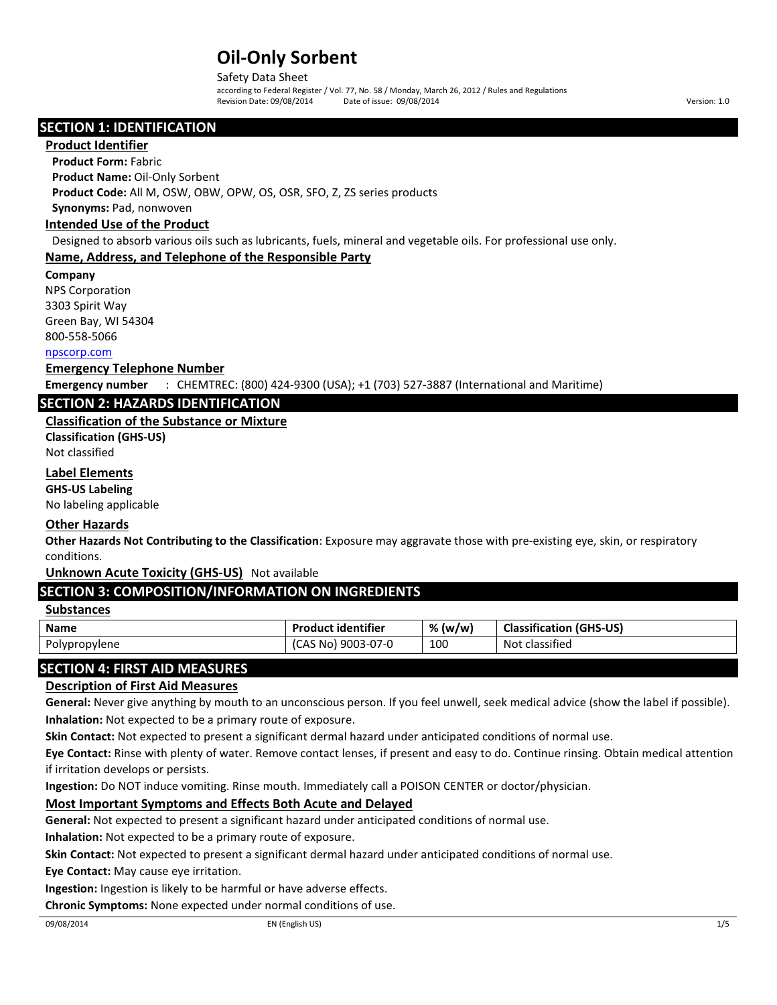#### Safety Data Sheet

according to Federal Register / Vol. 77, No. 58 / Monday, March 26, 2012 / Rules and Regulations Revision Date: 09/08/2014 Date of issue: 09/08/2014 Version: 1.0

### SECTION 1: IDENTIFICATION

#### Product Identifier

Product Form: Fabric

Product Name: Oil-Only Sorbent

Product Code: All M, OSW, OBW, OPW, OS, OSR, SFO, Z, ZS series products

## Synonyms: Pad, nonwoven

## Intended Use of the Product

Designed to absorb various oils such as lubricants, fuels, mineral and vegetable oils. For professional use only.

#### Name, Address, and Telephone of the Responsible Party

#### Company

NPS Corporation

3303 Spirit Way

Green Bay, WI 54304

## 800-558-5066

## [npscorp.com](http://www.npscorp.com/)

#### Emergency Telephone Number

Emergency number : CHEMTREC: (800) 424-9300 (USA); +1 (703) 527-3887 (International and Maritime)

## SECTION 2: HAZARDS IDENTIFICATION

## Classification of the Substance or Mixture

Classification (GHS-US) Not classified

## Label Elements

GHS-US Labeling

No labeling applicable

#### Other Hazards

Other Hazards Not Contributing to the Classification: Exposure may aggravate those with pre-existing eye, skin, or respiratory conditions.

Unknown Acute Toxicity (GHS-US) Not available

## SECTION 3: COMPOSITION/INFORMATION ON INGREDIENTS

### **Substances**

| <b>Name</b>   | <b>Product identifier</b>  | % (w/w | <b>Classification (GHS-US)</b> |
|---------------|----------------------------|--------|--------------------------------|
| Polypropylene | $)$ 9003-07-0<br>(CAS No). | 100    | Not classified                 |

## SECTION 4: FIRST AID MEASURES

#### Description of First Aid Measures

General: Never give anything by mouth to an unconscious person. If you feel unwell, seek medical advice (show the label if possible). Inhalation: Not expected to be a primary route of exposure.

Skin Contact: Not expected to present a significant dermal hazard under anticipated conditions of normal use.

Eye Contact: Rinse with plenty of water. Remove contact lenses, if present and easy to do. Continue rinsing. Obtain medical attention if irritation develops or persists.

Ingestion: Do NOT induce vomiting. Rinse mouth. Immediately call a POISON CENTER or doctor/physician.

## Most Important Symptoms and Effects Both Acute and Delayed

General: Not expected to present a significant hazard under anticipated conditions of normal use.

Inhalation: Not expected to be a primary route of exposure.

Skin Contact: Not expected to present a significant dermal hazard under anticipated conditions of normal use.

Eye Contact: May cause eye irritation.

Ingestion: Ingestion is likely to be harmful or have adverse effects.

Chronic Symptoms: None expected under normal conditions of use.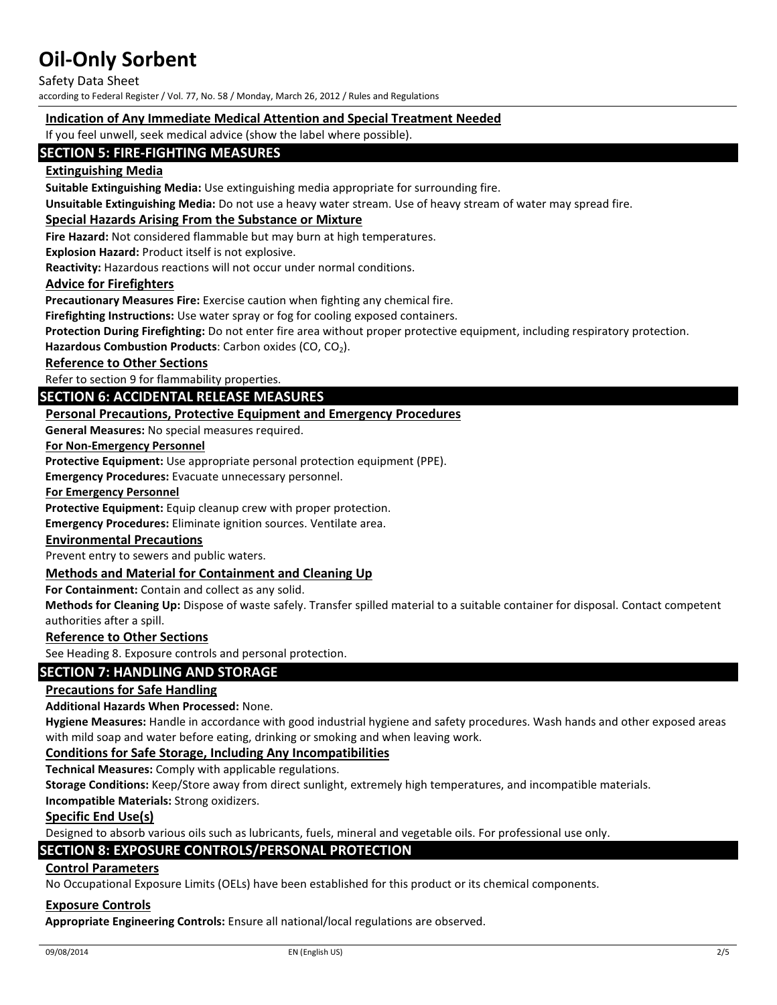Safety Data Sheet

according to Federal Register / Vol. 77, No. 58 / Monday, March 26, 2012 / Rules and Regulations

#### Indication of Any Immediate Medical Attention and Special Treatment Needed

If you feel unwell, seek medical advice (show the label where possible).

## SECTION 5: FIRE-FIGHTING MEASURES

#### Extinguishing Media

Suitable Extinguishing Media: Use extinguishing media appropriate for surrounding fire.

Unsuitable Extinguishing Media: Do not use a heavy water stream. Use of heavy stream of water may spread fire.

#### Special Hazards Arising From the Substance or Mixture

Fire Hazard: Not considered flammable but may burn at high temperatures.

Explosion Hazard: Product itself is not explosive.

Reactivity: Hazardous reactions will not occur under normal conditions.

#### Advice for Firefighters

Precautionary Measures Fire: Exercise caution when fighting any chemical fire.

Firefighting Instructions: Use water spray or fog for cooling exposed containers.

Protection During Firefighting: Do not enter fire area without proper protective equipment, including respiratory protection.

Hazardous Combustion Products: Carbon oxides (CO,  $CO<sub>2</sub>$ ).

Reference to Other Sections

Refer to section 9 for flammability properties.

## SECTION 6: ACCIDENTAL RELEASE MEASURES

#### Personal Precautions, Protective Equipment and Emergency Procedures

General Measures: No special measures required.

#### For Non-Emergency Personnel

Protective Equipment: Use appropriate personal protection equipment (PPE).

Emergency Procedures: Evacuate unnecessary personnel.

#### For Emergency Personnel

Protective Equipment: Equip cleanup crew with proper protection.

Emergency Procedures: Eliminate ignition sources. Ventilate area.

#### Environmental Precautions

Prevent entry to sewers and public waters.

#### Methods and Material for Containment and Cleaning Up

For Containment: Contain and collect as any solid.

Methods for Cleaning Up: Dispose of waste safely. Transfer spilled material to a suitable container for disposal. Contact competent authorities after a spill.

#### Reference to Other Sections

See Heading 8. Exposure controls and personal protection.

#### SECTION 7: HANDLING AND STORAGE

#### Precautions for Safe Handling

#### Additional Hazards When Processed: None.

Hygiene Measures: Handle in accordance with good industrial hygiene and safety procedures. Wash hands and other exposed areas with mild soap and water before eating, drinking or smoking and when leaving work.

#### Conditions for Safe Storage, Including Any Incompatibilities

Technical Measures: Comply with applicable regulations.

Storage Conditions: Keep/Store away from direct sunlight, extremely high temperatures, and incompatible materials.

Incompatible Materials: Strong oxidizers.

#### Specific End Use(s)

Designed to absorb various oils such as lubricants, fuels, mineral and vegetable oils. For professional use only.

### SECTION 8: EXPOSURE CONTROLS/PERSONAL PROTECTION

#### Control Parameters

No Occupational Exposure Limits (OELs) have been established for this product or its chemical components.

#### Exposure Controls

Appropriate Engineering Controls: Ensure all national/local regulations are observed.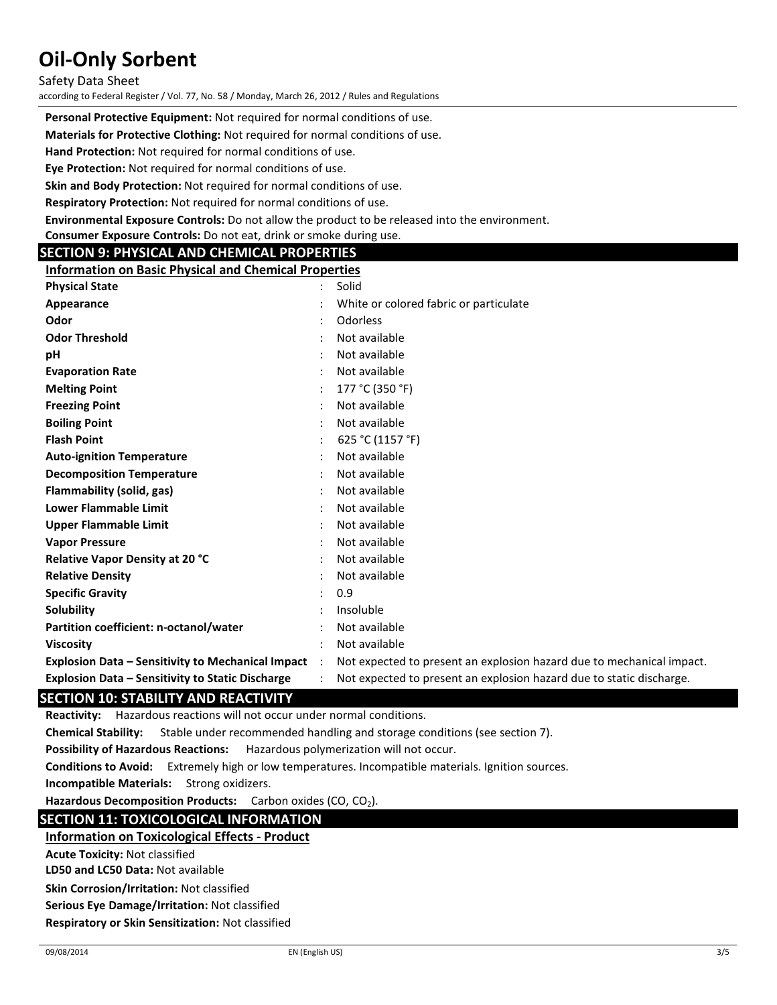Safety Data Sheet

according to Federal Register / Vol. 77, No. 58 / Monday, March 26, 2012 / Rules and Regulations

Personal Protective Equipment: Not required for normal conditions of use.

Materials for Protective Clothing: Not required for normal conditions of use.

Hand Protection: Not required for normal conditions of use.

Eye Protection: Not required for normal conditions of use.

Skin and Body Protection: Not required for normal conditions of use.

Respiratory Protection: Not required for normal conditions of use.

Environmental Exposure Controls: Do not allow the product to be released into the environment.

Consumer Exposure Controls: Do not eat, drink or smoke during use.

## SECTION 9: PHYSICAL AND CHEMICAL PROPERTIES

Information on Basic Physical and Chemical Properties

| <b>Physical State</b>                                    |           | Solid                                                                 |
|----------------------------------------------------------|-----------|-----------------------------------------------------------------------|
| Appearance                                               |           | White or colored fabric or particulate                                |
| Odor                                                     |           | Odorless                                                              |
| <b>Odor Threshold</b>                                    |           | Not available                                                         |
| рH                                                       |           | Not available                                                         |
| <b>Evaporation Rate</b>                                  |           | Not available                                                         |
| <b>Melting Point</b>                                     |           | 177 °C (350 °F)                                                       |
| <b>Freezing Point</b>                                    |           | Not available                                                         |
| <b>Boiling Point</b>                                     |           | Not available                                                         |
| <b>Flash Point</b>                                       |           | 625 °C (1157 °F)                                                      |
| <b>Auto-ignition Temperature</b>                         |           | Not available                                                         |
| <b>Decomposition Temperature</b>                         |           | Not available                                                         |
| Flammability (solid, gas)                                |           | Not available                                                         |
| <b>Lower Flammable Limit</b>                             |           | Not available                                                         |
| <b>Upper Flammable Limit</b>                             |           | Not available                                                         |
| <b>Vapor Pressure</b>                                    |           | Not available                                                         |
| <b>Relative Vapor Density at 20 °C</b>                   |           | Not available                                                         |
| <b>Relative Density</b>                                  |           | Not available                                                         |
| <b>Specific Gravity</b>                                  |           | 0.9                                                                   |
| Solubility                                               |           | Insoluble                                                             |
| Partition coefficient: n-octanol/water                   |           | Not available                                                         |
| <b>Viscosity</b>                                         |           | Not available                                                         |
| <b>Explosion Data - Sensitivity to Mechanical Impact</b> | $\cdot$ . | Not expected to present an explosion hazard due to mechanical impact. |
| <b>Explosion Data – Sensitivity to Static Discharge</b>  |           | Not expected to present an explosion hazard due to static discharge.  |

## SECTION 10: STABILITY AND REACTIVITY

Reactivity: Hazardous reactions will not occur under normal conditions.

Chemical Stability: Stable under recommended handling and storage conditions (see section 7).

Possibility of Hazardous Reactions: Hazardous polymerization will not occur.

Conditions to Avoid: Extremely high or low temperatures. Incompatible materials. Ignition sources.

Incompatible Materials: Strong oxidizers.

Hazardous Decomposition Products: Carbon oxides (CO, CO<sub>2</sub>).

## SECTION 11: TOXICOLOGICAL INFORMATION

#### Information on Toxicological Effects - Product

Acute Toxicity: Not classified

LD50 and LC50 Data: Not available

Skin Corrosion/Irritation: Not classified

Serious Eye Damage/Irritation: Not classified

Respiratory or Skin Sensitization: Not classified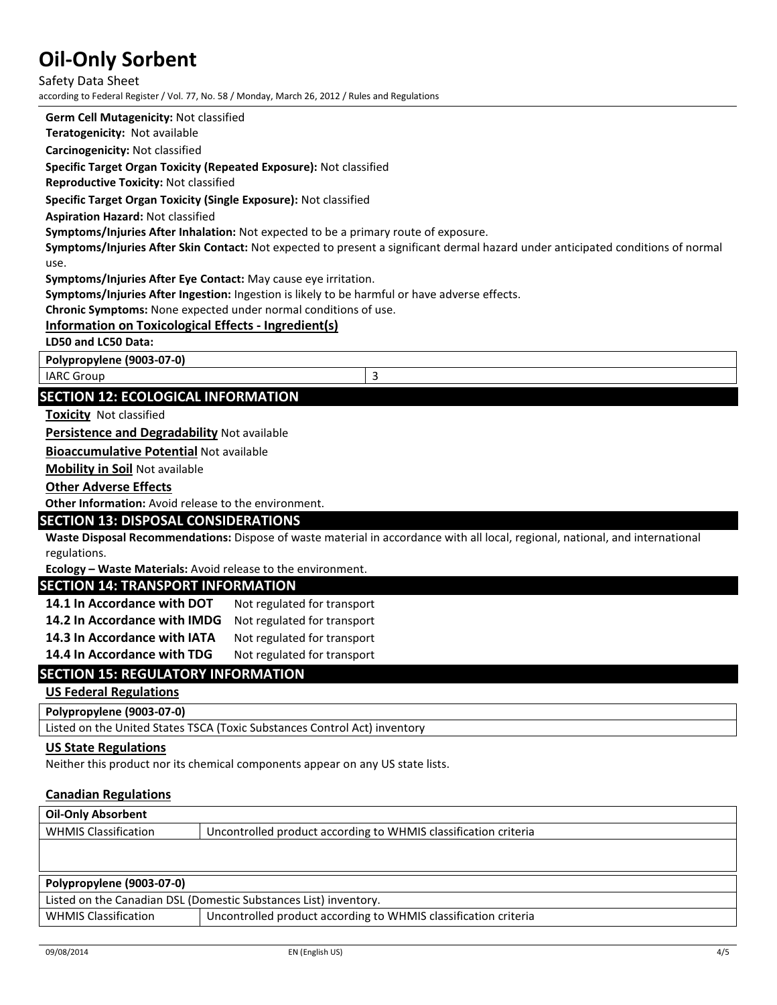Safety Data Sheet according to Federal Register / Vol. 77, No. 58 / Monday, March 26, 2012 / Rules and Regulations

Germ Cell Mutagenicity: Not classified

Teratogenicity: Not available

Carcinogenicity: Not classified

Specific Target Organ Toxicity (Repeated Exposure): Not classified

Reproductive Toxicity: Not classified

Specific Target Organ Toxicity (Single Exposure): Not classified

Aspiration Hazard: Not classified

Symptoms/Injuries After Inhalation: Not expected to be a primary route of exposure.

Symptoms/Injuries After Skin Contact: Not expected to present a significant dermal hazard under anticipated conditions of normal use.

Symptoms/Injuries After Eye Contact: May cause eye irritation.

Symptoms/Injuries After Ingestion: Ingestion is likely to be harmful or have adverse effects.

Chronic Symptoms: None expected under normal conditions of use.

### Information on Toxicological Effects - Ingredient(s)

LD50 and LC50 Data:

Polypropylene (9003-07-0)

IARC Group 3

## SECTION 12: ECOLOGICAL INFORMATION

**Toxicity** Not classified

Persistence and Degradability Not available

Bioaccumulative Potential Not available

Mobility in Soil Not available

#### Other Adverse Effects

Other Information: Avoid release to the environment.

#### SECTION 13: DISPOSAL CONSIDERATIONS

Waste Disposal Recommendations: Dispose of waste material in accordance with all local, regional, national, and international regulations.

Ecology – Waste Materials: Avoid release to the environment.

### SECTION 14: TRANSPORT INFORMATION

| 14.1 In Accordance with DOT  | Not regulated for transport |
|------------------------------|-----------------------------|
| 14.2 In Accordance with IMDG | Not regulated for transport |
| 14.3 In Accordance with IATA | Not regulated for transport |
| 14.4 In Accordance with TDG  | Not regulated for transport |

## SECTION 15: REGULATORY INFORMATION

#### US Federal Regulations

Polypropylene (9003-07-0)

Listed on the United States TSCA (Toxic Substances Control Act) inventory

#### US State Regulations

Neither this product nor its chemical components appear on any US state lists.

#### Canadian Regulations

| <b>Oil-Only Absorbent</b>                                                                                                                                                                                                       |                                                                 |
|---------------------------------------------------------------------------------------------------------------------------------------------------------------------------------------------------------------------------------|-----------------------------------------------------------------|
| <b>WHMIS Classification</b>                                                                                                                                                                                                     | Uncontrolled product according to WHMIS classification criteria |
|                                                                                                                                                                                                                                 |                                                                 |
|                                                                                                                                                                                                                                 |                                                                 |
| Polypropylene (9003-07-0)                                                                                                                                                                                                       |                                                                 |
| $\sim$ . The contract of the contract of the contract of the contract of the contract of the contract of the contract of the contract of the contract of the contract of the contract of the contract of the contract of the co | .                                                               |

Listed on the Canadian DSL (Domestic Substances List) inventory. WHMIS Classification Uncontrolled product according to WHMIS classification criteria